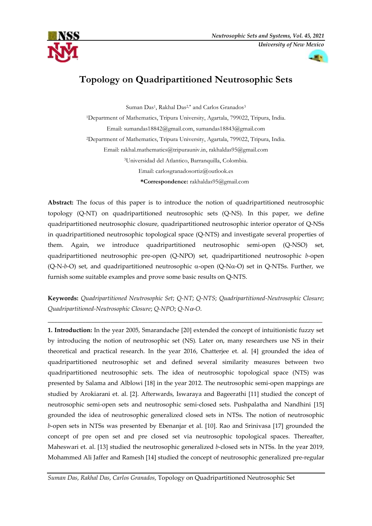

# **Topology on Quadripartitioned Neutrosophic Sets**

Suman Das<sup>1</sup>, Rakhal Das<sup>2,\*</sup> and Carlos Granados<sup>3</sup>

<sup>1</sup>Department of Mathematics, Tripura University, Agartala, 799022, Tripura, India. Email: [sumandas18842@gmail.com,](mailto:sumandas18842@gmail.com) [sumandas18843@gmail.com](mailto:sumandas18843@gmail.com) <sup>2</sup>Department of Mathematics, Tripura University, Agartala, 799022, Tripura, India. Email: [rakhal.mathematics@tripurauniv.in,](mailto:rakhal.mathematics@tripurauniv.in) [rakhaldas95@gmail.com](mailto:rakhaldas95@gmail.com) <sup>3</sup>Universidad del Atlantico, Barranquilla, Colombia. Email: carlosgranadosortiz@outlook.es **\*Correspondence:** [rakhaldas95@gmail.com](mailto:rakhaldas95@gmail.com)

**Abstract:** The focus of this paper is to introduce the notion of quadripartitioned neutrosophic topology (Q-NT) on quadripartitioned neutrosophic sets (Q-NS). In this paper, we define quadripartitioned neutrosophic closure, quadripartitioned neutrosophic interior operator of Q-NSs in quadripartitioned neutrosophic topological space (Q-NTS) and investigate several properties of them. Again, we introduce quadripartitioned neutrosophic semi-open (Q-NSO) set, quadripartitioned neutrosophic pre-open (Q-NPO) set, quadripartitioned neutrosophic *b*-open (Q-N-b-O) set, and quadripartitioned neutrosophic  $\alpha$ -open (Q-N $\alpha$ -O) set in Q-NTSs. Further, we furnish some suitable examples and prove some basic results on Q-NTS.

**Keywords:** *Quadripartitioned Neutrosophic Set*; *Q-NT*; *Q-NTS*; *Quadripartitioned-Neutrosophic Closure*; *Quadripartitioned-Neutrosophic Closure*; *Q-NPO*; *Q-N-O*.

\_\_\_\_\_\_\_\_\_\_\_\_\_\_\_\_\_\_\_\_\_\_\_\_\_\_\_\_\_\_\_\_\_\_\_\_\_\_\_\_\_\_\_\_\_\_\_\_\_\_\_\_\_\_\_\_\_\_\_\_\_\_\_\_\_\_\_\_\_\_\_\_\_\_\_\_\_\_\_\_\_\_\_\_\_\_\_\_

**1. Introduction:** In the year 2005, Smarandache [20] extended the concept of intuitionistic fuzzy set by introducing the notion of neutrosophic set (NS)*.* Later on, many researchers use NS in their theoretical and practical research. In the year 2016, Chatterjee et. al. [4] grounded the idea of quadripartitioned neutrosophic set and defined several similarity measures between two quadripartitioned neutrosophic sets. The idea of neutrosophic topological space (NTS) was presented by Salama and Alblowi [18] in the year 2012. The neutrosophic semi-open mappings are studied by Arokiarani et. al. [2]. Afterwards, Iswaraya and Bageerathi [11] studied the concept of neutrosophic semi-open sets and neutrosophic semi-closed sets. Pushpalatha and Nandhini [15] grounded the idea of neutrosophic generalized closed sets in NTSs. The notion of neutrosophic *b*-open sets in NTSs was presented by Ebenanjar et al. [10]. Rao and Srinivasa [17] grounded the concept of pre open set and pre closed set via neutrosophic topological spaces. Thereafter, Maheswari et. al. [13] studied the neutrosophic generalized *b*-closed sets in NTSs. In the year 2019, Mohammed Ali Jaffer and Ramesh [14] studied the concept of neutrosophic generalized pre-regular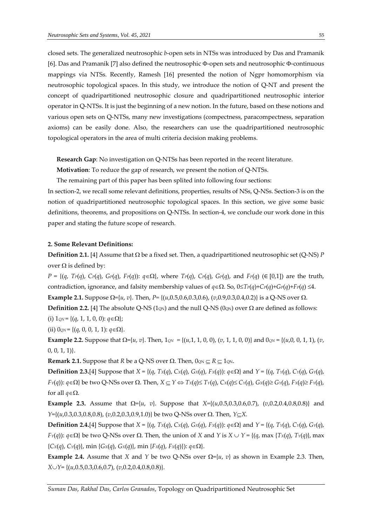closed sets. The generalized neutrosophic *b*-open sets in NTSs was introduced by Das and Pramanik [6]. Das and Pramanik [7] also defined the neutrosophic  $\Phi$ -open sets and neutrosophic  $\Phi$ -continuous mappings via NTSs. Recently, Ramesh [16] presented the notion of Ngpr homomorphism via neutrosophic topological spaces. In this study, we introduce the notion of Q-NT and present the concept of quadripartitioned neutrosophic closure and quadripartitioned neutrosophic interior operator in Q-NTSs. It is just the beginning of a new notion. In the future, based on these notions and various open sets on Q-NTSs, many new investigations (compectness, paracompectness, separation axioms) can be easily done. Also, the researchers can use the quadripartitioned neutrosophic topological operators in the area of multi criteria decision making problems.

**Research Gap**: No investigation on Q-NTSs has been reported in the recent literature.

**Motivation**: To reduce the gap of research, we present the notion of Q-NTSs.

The remaining part of this paper has been splited into following four sections:

In section-2, we recall some relevant definitions, properties, results of NSs, Q-NSs. Section-3 is on the notion of quadripartitioned neutrosophic topological spaces. In this section, we give some basic definitions, theorems, and propositions on Q-NTSs. In section-4, we conclude our work done in this paper and stating the future scope of research.

## **2. Some Relevant Definitions:**

**Definition 2.1.** [4] Assume that  $\Omega$  be a fixed set. Then, a quadripartitioned neutrosophic set (Q-NS) *P* over  $\Omega$  is defined by:

 $P = \{(q, Tr(q), Cr(q), Gr(q), Fr(q)) : q \in \Omega\}$ , where  $Tr(q)$ ,  $Cr(q)$ ,  $Gr(q)$ , and  $Fr(q)$  ( $\in [0,1]$ ) are the truth, contradiction, ignorance, and falsity membership values of  $q \in \Omega$ . So,  $0 \leq T_P(q) + C_P(q) + C_P(q) + F_P(q) \leq 4$ . **Example 2.1.** Suppose  $\Omega = \{u, v\}$ . Then,  $P = \{(u, 0.5, 0.6, 0.3, 0.6), (v, 0.9, 0.3, 0.4, 0.2)\}$  is a Q-NS over  $\Omega$ .

**Definition 2.2.** [4] The absolute Q-NS (1<sub>QN</sub>) and the null Q-NS (0<sub>QN</sub>) over  $\Omega$  are defined as follows: (i)  $1_{\mathbb{Q}N} = \{(q, 1, 1, 0, 0): q \in \Omega\};$ 

(ii)  $0_{\text{QN}} = \{(q, 0, 0, 1, 1): q \in \Omega\}.$ 

**Example 2.2.** Suppose that  $\Omega = \{u, v\}$ . Then,  $1_{QN} = \{(u, 1, 1, 0, 0), (v, 1, 1, 0, 0)\}$  and  $0_{QN} = \{(u, 0, 0, 1, 1), (v, 0, 0)\}$  $[0, 0, 1, 1]$ .

**Remark 2.1.** Suppose that *R* be a Q-NS over  $\Omega$ . Then,  $0_{\text{QN}} \subset R \subset 1_{\text{QN}}$ .

**Definition 2.3.**[4] Suppose that *X* = {(*q*, *TX*(*q*), *CX*(*q*), *GX*(*q*), *FX*(*q*)): *q*} and *Y* = {(*q*, *TY*(*q*), *CY*(*q*), *GY*(*q*),  $F_Y(q)$ :  $q \in \Omega$ } be two Q-NSs over  $\Omega$ . Then,  $X \subseteq Y \Leftrightarrow Tx(q) \leq Tx(q)$ ,  $Cx(q) \leq Cy(q)$ ,  $G_X(q) \geq G_Y(q)$ ,  $Fx(q) \geq F_Y(q)$ , for all  $q \in \Omega$ .

**Example 2.3.** Assume that  $\Omega = \{u, v\}$ . Suppose that  $X = \{(u, 0.5, 0.3, 0.6, 0.7), (v, 0.2, 0.4, 0.8, 0.8)\}$  and *Y*={( $u$ ,0.3,0.3,0.8,0.8), ( $v$ ,0.2,0.3,0.9,1.0)} be two Q-NSs over  $\Omega$ . Then, *YCX*.

**Definition 2.4.**[4] Suppose that *X* = {(*q*, *TX*(*q*), *CX*(*q*), *GX*(*q*), *FX*(*q*)): *q*} and *Y* = {(*q*, *TY*(*q*), *CY*(*q*), *GY*(*q*), *F*<sup>*Y*</sup>(*q*)): *q*∈ $\Omega$ } be two Q-NSs over  $\Omega$ . Then, the union of *X* and *Y* is *X*  $\cup$  *Y* = {(*q*, max {*Tx*(*q*), *TY*(*q*)}, max  ${Cx(q), Cy(q)}$ , min  ${Gx(q), Gx(q)}$ , min  ${Fx(q), Fx(q)}$ :  $q \in \Omega$ .

**Example 2.4.** Assume that *X* and *Y* be two Q-NSs over  $\Omega = \{u, v\}$  as shown in Example 2.3. Then, *XY*= {(*u*,0.5,0.3,0.6,0.7), (*v*,0.2,0.4,0.8,0.8)}.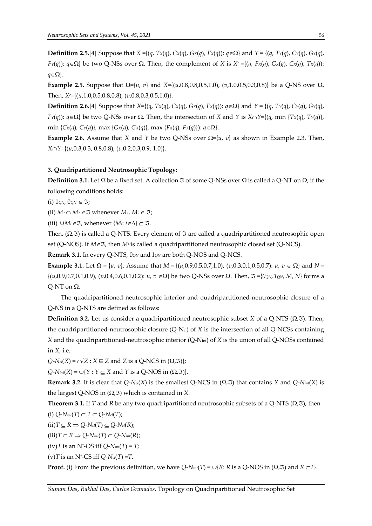**Definition 2.5.**[4] Suppose that *X* ={(*q*, *TX*(*q*), *CX*(*q*), *GX*(*q*), *FX*(*q*)): *q*} and *Y* = {(*q*, *TY*(*q*), *CY*(*q*), *GY*(*q*),  $F_Y(q)$ :  $q \in \Omega$ } be two Q-NSs over  $\Omega$ . Then, the complement of X is  $X^c = \{(q, F_X(q), G_X(q), C_X(q), T_X(q))\}$ :  $q \in \Omega$ .

**Example 2.5.** Suppose that  $\Omega = \{u, v\}$  and  $X = \{(u, 0.8, 0.8, 0.5, 1.0), (v, 1.0, 0.5, 0.3, 0.8)\}$  be a Q-NS over  $\Omega$ . Then, *Xc=*{(*u*,1.0,0.5,0.8,0.8), (*v*,0.8,0.3,0.5,1.0)}.

**Definition 2.6.**[4] Suppose that *X*={(*q*, *TX*(*q*), *CX*(*q*), *GX*(*q*), *FX*(*q*)): *q*} and *Y* = {(*q*, *TY*(*q*), *CY*(*q*), *GY*(*q*),  $F_Y(q)$ :  $q \in \Omega$  be two Q-NSs over  $\Omega$ . Then, the intersection of *X* and *Y* is  $X \cap Y = \{(q, \min \{Tx(q), Ty(q)\},\$ min  ${C_x(q), C_y(q)}$ , max  ${G_x(q), G_x(q)}$ , max  ${F_x(q), F_x(q)}$ :  $q \in \Omega$ .

**Example 2.6.** Assume that *X* and *Y* be two Q-NSs over  $\Omega = \{u, v\}$  as shown in Example 2.3. Then, *XY*={(*u*,0.3,0.3, 0.8,0.8), (*v*,0.2,0.3,0.9, 1.0)}.

#### **3. Quadripartitioned Neutrosophic Topology:**

**Definition 3.1.** Let  $\Omega$  be a fixed set. A collection  $\Im$  of some Q-NSs over  $\Omega$  is called a Q-NT on  $\Omega$ , if the following conditions holds:

(i)  $1_{QN}$ ,  $0_{QN} \in \mathfrak{I}$ ;

(ii)  $M_1 \cap M_2 \in \mathfrak{I}$  whenever  $M_1, M_2 \in \mathfrak{I}$ ;

(iii)  $\cup M_i$  ∈  $\Im$ , whenever  $\{M_i: i \in \Delta\} \subset \Im$ .

Then,  $(\Omega, \Im)$  is called a Q-NTS. Every element of  $\Im$  are called a quadripartitioned neutrosophic open set (Q-NOS). If *M*, then *M<sup>c</sup>* is called a quadripartitioned neutrosophic closed set (Q*-*NCS).

**Remark 3.1.** In every Q-NTS, 0*QN* and 1*QN* are both Q-NOS and Q-NCS.

**Example 3.1.** Let  $\Omega = \{u, v\}$ . Assume that  $M = \{(u, 0.9, 0.5, 0.7, 1.0), (v, 0.3, 0.1, 0.5, 0.7); u, v \in \Omega\}$  and  $N =$  $\{(u,0.9,0.7,0.1,0.9), (v,0.4,0.6,0.1,0.2): u, v \in \Omega\}$  be two Q-NSs over  $\Omega$ . Then,  $\Im = \{0.00, 1.00, 1.00, 1.00, 1.00, 1.00, 1.00, 1.00, 1.00, 1.00, 1.00, 1.00, 1.00, 1.00, 1.00, 1.00, 1.00, 1.00, 1.00, 1.00, 1.00, 1.00, 1.$  $Q-NT$  on  $\Omega$ .

The quadripartitioned-neutrosophic interior and quadripartitioned-neutrosophic closure of a Q-NS in a Q-NTS are defined as follows:

**Definition 3.2.** Let us consider a quadripartitioned neutrosophic subset *X* of a Q-NTS ( $\Omega$ , $\Im$ ). Then, the quadripartitioned-neutrosophic closure (Q-Ncl) of *X* is the intersection of all Q-NCSs containing *X* and the quadripartitioned-neutrosophic interior (Q-Nint) of *X* is the union of all Q-NOSs contained in *X*, i.e.

 $Q$ - $N_{cl}(X)$  =  $\cap$ {*Z* : *X*  $\subseteq$  *Z* and *Z* is a Q-NCS in ( $\Omega$ ,  $\Im$ )};

 $Q$ -*N*<sup>int</sup>(*X*) =  $\cup$ {*Y* : *Y*  $\subseteq$  *X* and *Y* is a Q-NOS in ( $\Omega$ ,  $\Im$ )}.

**Remark 3.2.** It is clear that  $Q$ -N*cl*(*X*) is the smallest  $Q$ -NCS in ( $\Omega$ , $\Im$ ) that contains *X* and  $Q$ -N<sub>*int*</sub>(*X*) is the largest Q-NOS in  $(\Omega, \mathfrak{I})$  which is contained in *X*.

**Theorem 3.1.** If *T* and *R* be any two quadripartitioned neutrosophic subsets of a Q-NTS ( $\Omega$ , $\Im$ ), then  $(i)$   $\Omega$   $M_i$   $(T)$   $\subset$   $T \subset \Omega$   $M_i$   $(T)$ 

$$
(1) Q^{-1}\text{Nint}(1) \subseteq I \subseteq Q^{-1}\text{Ncl}(1);
$$

 $(iii) T \subseteq R \Rightarrow Q \cdot N_{cl}(T) \subseteq Q \cdot N_{cl}(R);$ 

 $(iii)$ *T*  $\subset$  *R*  $\Rightarrow$  *Q*- $N$ *int*(*T*)  $\subset$  *Q*- $N$ *int*(*R*);

 $(iv)T$  is an  $N^*$ -OS iff  $Q$ - $N$ *int*(*T*) = *T*;

 $(v)T$  is an N<sup>\*</sup>-CS iff  $Q$ -N*cl*(*T*) = *T*.

**Proof.** (i) From the previous definition, we have  $Q-N$ *int*(*T*) =  $\cup$ {*R*: *R* is a Q-NOS in ( $\Omega$ , $\Im$ ) and  $R \subseteq T$ }.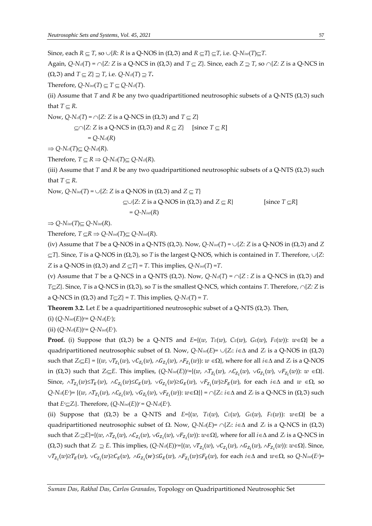Since, each  $R \subseteq T$ , so  $\cup \{R: R \text{ is a Q-NOS in } (\Omega, \Im) \text{ and } R \subseteq T\} \subseteq T$ , i.e.  $Q$ - $N_{int}(T) \subseteq T$ .

Again,  $Q-N_{cl}(T) = \bigcap \{Z: Z \text{ is a } Q-\text{NCS in } (\Omega, \Im) \text{ and } T \subseteq Z\}$ . Since, each  $Z \supseteq T$ , so  $\bigcap \{Z: Z \text{ is a } Q-\text{NCS in } \partial \Omega\}$  $(Q,\mathfrak{F})$  and  $T \subseteq Z$   $\supseteq T$ , i.e.  $Q$ - $N_{cl}(T) \supseteq T$ .

Therefore,  $Q$ - $N$ *int*(*T*)  $\subseteq T \subseteq Q$ - $N$ *cl*(*T*).

(ii) Assume that *T* and *R* be any two quadripartitioned neutrosophic subsets of a Q-NTS  $(\Omega, \Im)$  such that  $T \subset R$ .

Now,  $Q$ -N*d*(*T*) =  $\cap$ {*Z: Z* is a Q-NCS in ( $\Omega$ ,  $\Im$ ) and *T*  $\subseteq$  *Z*}  $\subset \cap$ {*Z*: *Z* is a Q-NCS in ( $\Omega$ ,  $\Im$ ) and  $R \subset Z$ } [since  $T \subset R$ ]  $= Q - N_{cl}(R)$ 

 $\Rightarrow$  *Q-N*<sup>*cl*</sup>(*T*) $\subseteq$  *Q-N*<sup>*cl*</sup>(*R*).

Therefore,  $T \subseteq R \implies Q$ - $N_{cl}(T) \subseteq Q$ - $N_{cl}(R)$ .

(iii) Assume that *T* and *R* be any two quadripartitioned neutrosophic subsets of a Q-NTS  $(\Omega, \Im)$  such that  $T \subseteq R$ .

Now,  $Q$ - $N$ *int*(*T*) =  $\cup$ {*Z*: *Z* is a Q-NOS in ( $\Omega$ ,  $\Im$ ) and *Z*  $\subseteq$  *T*}  $\subset \cup \{Z: Z \text{ is a Q-NOS in } (\Omega, \Im) \text{ and } Z \subset R\}$  [since  $T \subset R$ ]  $= O-N<sub>int</sub>(R)$ 

 $\Rightarrow$  *Q-Nint*(*T*) $\subseteq$  *Q-Nint*(*R*).

Therefore,  $T \subseteq R \implies Q \text{-} N_{int}(T) \subseteq Q \text{-} N_{int}(R)$ .

(iv) Assume that *T* be a Q-NOS in a Q-NTS ( $\Omega$ ,  $\Im$ ). Now,  $Q$ -N<sub>int</sub>(*T*) =  $\cup$ {*Z*: *Z* is a Q-NOS in ( $\Omega$ , $\Im$ ) and *Z*  $\subseteq$ *T*}. Since, *T* is a Q-NOS in  $(\Omega, \Im)$ , so *T* is the largest Q-NOS, which is contained in *T*. Therefore,  $\cup$ {*Z*: *Z* is a Q-NOS in  $(\Omega, \mathfrak{I})$  and  $Z \subseteq T$ } = *T*. This implies,  $Q$ - $N$ *int*(*T*) = *T*.

(v) Assume that *T* be a Q-NCS in a Q-NTS ( $\Omega$ ,  $\Im$ ). Now,  $Q$ -N*d*(*T*) =  $\cap$ {*Z* : *Z* is a Q-NCS in ( $\Omega$ , $\Im$ ) and *T* $\subseteq$ *Z*}. Since, *T* is a Q-NCS in ( $\Omega$ , $\Im$ ), so *T* is the smallest Q-NCS, which contains *T*. Therefore,  $\cap$ {*Z: Z* is a Q-NCS in  $(\Omega, \mathfrak{I})$  and  $T \subset Z$  = *T*. This implies,  $Q$ -N*cl*(*T*) = *T*.

**Theorem 3.2.** Let *E* be a quadripartitioned neutrosophic subset of a Q-NTS ( $\Omega$ , $\Im$ ). Then,

(i) (*Q-Nint*(*E*))*c*= *Q-Ncl*(*E<sup>c</sup>* );

(ii)  $(Q\text{-}N_{cl}(E))^{\circ} = Q\text{-}N_{int}(E^{\circ}).$ 

**Proof.** (i) Suppose that  $(\Omega, \mathfrak{T})$  be a Q-NTS and  $E = \{ (w, T_E(w), C_E(w), G_E(w), F_E(w) ) : w \in \Omega \}$  be a quadripartitioned neutrosophic subset of  $\Omega$ . Now,  $Q$ -N<sub>int</sub>(*E*)=  $\cup$ {*Z*<sub>*i*</sub>: *i*∈∆ and *Z<sub>i</sub>* is a Q-NOS in ( $\Omega$ <sub>i</sub>, $\Im$ )  $\{x \in E\} = \{(w, \vee T_{Z_i}(w), \vee C_{Z_i}(w), \wedge G_{Z_i}(w), \wedge F_{Z_i}(w)) : w \in \Omega\}$ , where for all  $i \in \Delta$  and  $Z_i$  is a Q-NOS in ( $\Omega$ ,  $\Im$ ) such that *Z*<sub>i</sub> $\subseteq$ *E*. This implies, ( $Q$ - $N$ <sub>*int*</sub>( $E$ ))<sup> $c$ </sup>={( $w$ ,  $\wedge T_{Z_i}(w)$ ,  $\wedge G_{Z_i}(w)$ ,  $\vee G_{Z_i}(w)$ ,  $\vee F_{Z_i}(w)$ ):  $w \in \Omega$ }. Since,  $\wedge T_{Z_i}(w) \le T_E(w)$ ,  $\wedge C_{Z_i}(w) \le C_E(w)$ ,  $\vee G_{Z_i}(w) \ge G_E(w)$ ,  $\vee F_{Z_i}(w) \ge F_E(w)$ , for each  $i \in \Delta$  and  $w \in \Omega$ , so  $Q-N$ *cl*(*E<sup>c</sup>*)= {(*w*,  $\wedge T_{Z_i}(w)$ ,  $\wedge C_{Z_i}(w)$ ,  $\vee F_{Z_i}(w)$ ,  $\vee F_{Z_i}(w)$ ):  $w \in \Omega$ }} =  $\cap$ {*Z<sub>i</sub>*: *i*  $\in \Delta$  and *Z<sub>i</sub>* is a Q-NCS in ( $\Omega$ , 3) such that  $E<sup>c</sup> \subseteq Z<sub>i</sub>$ . Therefore,  $(Q<sup>-</sup>N<sub>int</sub>(E))<sup>c</sup> = Q<sup>-</sup>N<sub>cl</sub>(E<sup>c</sup>)$ .

(ii) Suppose that  $(\Omega, \Im)$  be a Q-NTS and  $E=\{(w, T_E(w), C_E(w), G_E(w), F_E(w))\colon w \in \Omega\}$  be a quadripartitioned neutrosophic subset of  $\Omega$ . Now,  $Q$ -N*d*(*E*)=  $\cap$ {*Zi*: *i* ∈ ∆ and *Z<sub>i</sub>* is a Q-NCS in ( $\Omega$ , 3)  $\sup$  such that  $Z_i \supseteq E$ }={(*w*,  $\wedge T_{Z_i}(w)$ ,  $\wedge G_{Z_i}(w)$ ,  $\vee G_{Z_i}(w)$ ,  $\vee F_{Z_i}(w)$ ):  $w \in \Omega$ }, where for all  $i \in \Delta$  and  $Z_i$  is a Q-NCS in  $(\Omega,\mathfrak{I})$  such that  $Z_i \supseteq E$ . This implies,  $(Q\text{-}N_d(E))$ <sup>c={</sup>( $w$ ,  $\vee T_{Z_i}(w)$ ,  $\vee C_{Z_i}(w)$ ,  $\wedge G_{Z_i}(w)$ ,  $\wedge F_{Z_i}(w)$ ):  $w \in \Omega$ }. Since,  $\vee T_{Z_i}(w) \geq T_E(w)$ ,  $\vee C_{Z_i}(w) \geq C_E(w)$ ,  $\wedge G_{Z_i}(w) \leq G_E(w)$ ,  $\wedge F_{Z_i}(w) \leq F_E(w)$ , for each  $i \in \Delta$  and  $w \in \Omega$ , so  $Q$ -Nint $(E^c)$ =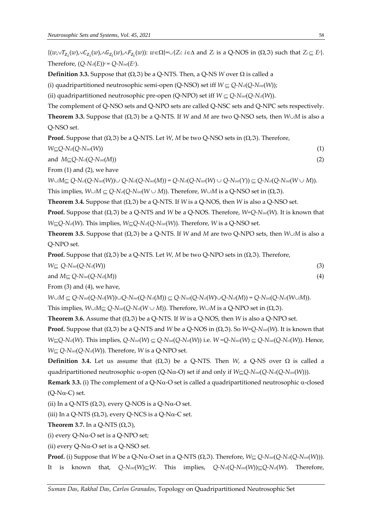$\{(w,\vee T_{Z_i}(w),\vee C_{Z_i}(w),\wedge G_{Z_i}(w),\wedge F_{Z_i}(w))\colon w\in\Omega\}=\cup\{Z_i: i\in\Delta \text{ and } Z_i \text{ is a Q-NOS in } (\Omega,\mathfrak{I}) \text{ such that } Z_i\subseteq E^c\}.$ Therefore,  $(Q\text{-}N_d(E))^c = Q\text{-}N_{int}(E^c)$ .

**Definition 3.3.** Suppose that  $(\Omega, \mathfrak{T})$  be a Q-NTS. Then, a Q-NS *W* over  $\Omega$  is called a

(i) quadripartitioned neutrosophic semi-open (Q-NSO) set iff  $W \subseteq Q$ - $N_{cl}(Q-N_{int}(W))$ ;

(ii) quadripartitioned neutrosophic pre-open (Q-NPO) set iff  $W \subseteq Q$ - $N_{int}(Q-N_{ci}(W))$ .

The complement of Q-NSO sets and Q-NPO sets are called Q-NSC sets and Q-NPC sets respectively.

**Theorem 3.3.** Suppose that  $(\Omega, \mathfrak{I})$  be a Q-NTS. If *W* and *M* are two Q-NSO sets, then *W* $\cup$ *M* is also a Q-NSO set.

**Proof.** Suppose that  $(\Omega, \mathfrak{T})$  be a Q-NTS. Let *W*, *M* be two Q-NSO sets in  $(\Omega, \mathfrak{T})$ . Therefore,

 $W \subseteq Q$ -N<sub>cl</sub>( $Q$ -N<sub>int</sub>( $W$ )) (1)

and  $M \subseteq Q$ -N<sub>cl</sub>( $Q$ -N<sub>int</sub>( $M$ )) (2)

From (1) and (2), we have

 $W \cup M \subseteq Q - N_{cl}(Q - N_{int}(W)) \cup Q - N_{cl}(Q - N_{int}(M)) = Q - N_{cl}(Q - N_{int}(W) \cup Q - N_{int}(Y)) \subseteq Q - N_{cl}(Q - N_{int}(W \cup M)).$ 

This implies,  $W \cup M \subseteq Q \cdot N_{\text{cat}}(Q \cdot N_{\text{int}}(W \cup M))$ . Therefore,  $W \cup M$  is a Q-NSO set in ( $\Omega$ ,  $\mathfrak{I}$ ).

**Theorem 3.4.** Suppose that  $(\Omega, \mathfrak{I})$  be a Q-NTS. If *W* is a Q-NOS, then *W* is also a Q-NSO set.

**Proof.** Suppose that  $(\Omega, \mathfrak{I})$  be a Q-NTS and *W* be a Q-NOS. Therefore, *W*=Q-N<sub>int</sub>(*W*). It is known that *W*⊆Q-N*cl*(*W*). This implies, *W*⊆Q-N*cl*(*Q*-N*int*(*W*)). Therefore, *W* is a Q-NSO set.

**Theorem 3.5.** Suppose that  $(\Omega, \mathfrak{T})$  be a Q-NTS. If *W* and *M* are two Q-NPO sets, then *W* $\cup$ *M* is also a Q-NPO set.

**Proof.** Suppose that  $(\Omega, \mathfrak{I})$  be a Q-NTS. Let *W*, *M* be two Q-NPO sets in  $(\Omega, \mathfrak{I})$ . Therefore,

 $W \subseteq Q\text{-}N_{int}(Q\text{-}N_{ci}(W))$  (3)

and  $M \subseteq Q$ - $N$ *int*( $Q$ - $N$ *c*( $M$ )) (4)

From (3) and (4), we have,

 $W \cup M \subseteq Q \cdot N_{int}(Q \cdot N_{cl}(W)) \cup Q \cdot N_{int}(Q \cdot N_{cl}(M)) \subseteq Q \cdot N_{int}(Q \cdot N_{cl}(W) \cup Q \cdot N_{cl}(M)) = Q \cdot N_{int}(Q \cdot N_{cl}(W \cup M)).$ This implies,  $W \cup M \subseteq Q \cdot N_{int}(Q \cdot N_{cl}(W \cup M))$ . Therefore,  $W \cup M$  is a Q-NPO set in  $(\Omega, \Im)$ .

**Theorem 3.6.** Assume that  $(\Omega, \Im)$  be a Q-NTS. If *W* is a Q-NOS, then *W* is also a Q-NPO set.

**Proof.** Suppose that  $(\Omega, \mathfrak{T})$  be a Q-NTS and *W* be a Q-NOS in  $(\Omega, \mathfrak{T})$ . So *W=Q-N<sub>int</sub>*(*W*). It is known that  $W \subseteq Q$ -Na(W). This implies,  $Q$ -Nint(W)  $\subseteq Q$ -Nint(Q-Na(W)) i.e.  $W = Q$ -Nint(W)  $\subseteq Q$ -Nint(Q-Na(W)). Hence,  $W \subseteq Q$ - $N$ *int*( $Q$ - $N$ *d*( $W$ )). Therefore,  $W$  is a  $Q$ -NPO set.

**Definition** 3.4. Let us assume that  $(\Omega, \mathcal{F})$  be a Q-NTS. Then *W*, a Q-NS over  $\Omega$  is called a quadripartitioned neutrosophic  $\alpha$ -open (Q-N $\alpha$ -O) set if and only if *W*<sub> $\subseteq$ </sub>Q-N<sub>int</sub>(Q-N<sub>int</sub>(W))).

**Remark 3.3.** (i) The complement of a Q-N $\alpha$ -O set is called a quadripartitioned neutrosophic  $\alpha$ -closed  $(Q-N\alpha-C)$  set.

(ii) In a Q-NTS  $(\Omega, \Im)$ , every Q-NOS is a Q-N $\alpha$ -O set.

(iii) In a Q-NTS  $(\Omega, \Im)$ , every Q-NCS is a Q-N $\alpha$ -C set.

**Theorem 3.7.** In a Q-NTS  $(\Omega, \mathfrak{I})$ ,

(i) every  $Q-N\alpha$ -O set is a  $Q-NPO$  set;

(ii) every Q-N $\alpha$ -O set is a Q-NSO set.

**Proof.** (i) Suppose that *W* be a Q-N $\alpha$ -O set in a Q-NTS ( $\Omega$ , $\Im$ ). Therefore,  $W \subseteq Q$ -N $_{int}(Q\text{-}\text{N}_{out}(Q\text{-}\text{N}_{out}(W)))$ . It is known that,  $Q\text{-}N_{int}(W)\subseteq W$ . This implies,  $Q\text{-}N_{cl}(Q\text{-}N_{int}(W))\subseteq Q\text{-}N_{cl}(W)$ . Therefore,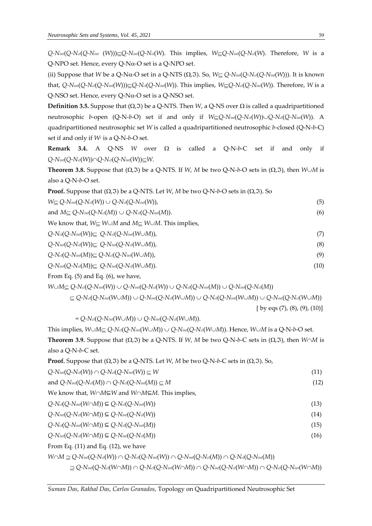$Q-N$ *int*(*Q-Ncl*(*Q-Nint* (*W*))) $Q-N$ *int*(*Q-Ncl*(*W*). This implies,  $W\subseteq Q-N$ *int*(*Q-Ncl*(*W*). Therefore, *W* is a Q-NPO set. Hence, every  $Q-N\alpha$ -O set is a  $Q-NPO$  set.

(ii) Suppose that *W* be a Q-N $\alpha$ -O set in a Q-NTS ( $\Omega$ ,  $\Im$ ). So,  $W \subset Q$ -N<sub>int</sub>( $Q$ -N<sub>int</sub>( $Q$ -N<sub>int</sub>( $W$ ))). It is known that,  $Q$ -Nint( $Q$ -Ncl( $Q$ -Nint(W))) $\subseteq Q$ -Ncl( $Q$ -Nint(W)). This implies,  $W \subseteq Q$ -Ncl( $Q$ -Nint(W)). Therefore, W is a  $Q$ -NSO set. Hence, every  $Q$ -N $\alpha$ -O set is a  $Q$ -NSO set.

**Definition 3.5.** Suppose that  $(\Omega, \mathfrak{T})$  be a Q-NTS. Then *W*, a Q-NS over  $\Omega$  is called a quadripartitioned neutrosophic *b*-open (Q-N-*b*-O) set if and only if *WQ-Nint*(*Q-Ncl*(*W*))*Q-Ncl*(*Q-Nint*(*W*)). A quadripartitioned neutrosophic set *W* is called a quadripartitioned neutrosophic *b*-closed (Q-N-*b*-C) set if and only if *W<sup>c</sup>* is a Q-N-*b*-O set.

**Remark 3.4.** A O-NS *W* over  $\Omega$  is called a O-N-*b*-C set if and only if *Q-Nint*(*Q-Ncl*(*W*))*Q-Ncl*(*Q-Nint*(*W*))*W*.

**Theorem 3.8.** Suppose that  $(\Omega, \mathfrak{I})$  be a Q-NTS. If *W*, *M* be two Q-N-*b*-O sets in  $(\Omega, \mathfrak{I})$ , then *W* $\cup$ *M* is also a Q-N-*b*-O set.

| <b>Proof.</b> Suppose that $(\Omega, \mathfrak{T})$ be a Q-NTS. Let W, M be two Q-N-b-O sets in $(\Omega, \mathfrak{T})$ . So |      |
|-------------------------------------------------------------------------------------------------------------------------------|------|
| $W \subseteq Q$ -Nint $(Q$ -Net $(W)) \cup Q$ -Net $(Q$ -Nint $(W)$ ),                                                        | (5)  |
| and $M \subseteq Q$ - $N_{int}(Q-N_{cl}(M)) \cup Q$ - $N_{cl}(Q-N_{int}(M))$ .                                                | (6)  |
| We know that, $W \subseteq W \cup M$ and $M \subseteq W \cup M$ . This implies,                                               |      |
| $Q\text{-}N_{\text{cl}}(Q\text{-}N_{\text{int}}(W))\subseteq Q\text{-}N_{\text{cl}}(Q\text{-}N_{\text{int}}(W\cup M)),$       | (7)  |
| $Q\text{-}N_{int}(Q\text{-}N_{cl}(W))\subseteq Q\text{-}N_{int}(Q\text{-}N_{cl}(W\cup M)),$                                   | (8)  |
| $Q\text{-}N_{\text{cl}}(Q\text{-}N_{\text{int}}(M))\subseteq Q\text{-}N_{\text{cl}}(Q\text{-}N_{\text{int}}(W\cup M)),$       | (9)  |
| $Q\text{-}N_{int}(Q\text{-}N_{cl}(M))\subseteq Q\text{-}N_{int}(Q\text{-}N_{cl}(W\cup M)).$                                   | (10) |

From Eq. (5) and Eq. (6), we have,

 $W \cup M \subseteq Q$ -Na(Q-Nint(W))  $\cup Q$ -Nint(Q-Na(W))  $\cup Q$ -Na(Q-Nint(M))  $\cup Q$ -Nint(Q-Na(M))

$$
\subseteq Q\text{-}\mathrm{N}_{\text{cl}}(Q\text{-}\mathrm{N}_{\text{int}}(W\cup M))\cup Q\text{-}\mathrm{N}_{\text{int}}(Q\text{-}\mathrm{N}_{\text{cl}}(W\cup M))\cup Q\text{-}\mathrm{N}_{\text{cl}}(Q\text{-}\mathrm{N}_{\text{int}}(W\cup M))\cup Q\text{-}\mathrm{N}_{\text{int}}(Q\text{-}\mathrm{N}_{\text{cl}}(W\cup M))
$$

[ by eqs  $(7)$ ,  $(8)$ ,  $(9)$ ,  $(10)$ ]

 $= Q$ - $N$ *cl*( $Q$ - $N$ *int*( $W \cup M$ ))  $\cup Q$ - $N$ *int*( $Q$ - $N$ *cl*( $W \cup M$ )).

This implies,  $W \cup M \subseteq Q \cdot N_{\text{int}}(Q \cdot N_{\text{int}}(W \cup M)) \cup Q \cdot N_{\text{int}}(Q \cdot N_{\text{c}}(W \cup M))$ . Hence,  $W \cup M$  is a  $Q \cdot N \cdot b \cdot O$  set. **Theorem 3.9.** Suppose that  $(\Omega, \mathfrak{T})$  be a Q-NTS. If *W*, *M* be two Q-N-*b*-C sets in  $(\Omega, \mathfrak{T})$ , then *W* $\cap$ *M* is also a Q-N-*b*-C set.

| <b>Proof.</b> Suppose that $(\Omega, \mathfrak{I})$ be a Q-NTS. Let W, M be two Q-N-b-C sets in $(\Omega, \mathfrak{I})$ . So, |  |
|--------------------------------------------------------------------------------------------------------------------------------|--|
|--------------------------------------------------------------------------------------------------------------------------------|--|

| $Q\text{-}N_{int}(Q\text{-}N_{cl}(W)) \cap Q\text{-}N_{cl}(Q\text{-}N_{int}(W)) \subseteq W$                                                                                                        | (11) |
|-----------------------------------------------------------------------------------------------------------------------------------------------------------------------------------------------------|------|
| and $Q$ - $N_{int}(Q$ - $N_{cl}(M)) \cap Q$ - $N_{cl}(Q$ - $N_{int}(M)) \subseteq M$                                                                                                                | (12) |
| We know that, $W \cap M \subseteq W$ and $W \cap M \subseteq M$ . This implies,                                                                                                                     |      |
| $Q\text{-}N_{cl}(Q\text{-}N_{int}(W\cap M)) \subseteq Q\text{-}N_{cl}(Q\text{-}N_{int}(W))$                                                                                                         | (13) |
| $Q\text{-}N_{int}(Q\text{-}N_{cl}(W\cap M)) \subseteq Q\text{-}N_{int}(Q\text{-}N_{cl}(W))$                                                                                                         | (14) |
| $Q\text{-}N_{\text{cl}}(Q\text{-}N_{\text{int}}(W\cap M)) \subseteq Q\text{-}N_{\text{cl}}(Q\text{-}N_{\text{int}}(M))$                                                                             | (15) |
| $Q\text{-}N_{int}(Q\text{-}N_{cl}(W\cap M)) \subseteq Q\text{-}N_{int}(Q\text{-}N_{cl}(M))$                                                                                                         | (16) |
| From Eq. $(11)$ and Eq. $(12)$ , we have                                                                                                                                                            |      |
| $W \cap M \supseteq Q \cap N_{int}(Q \cap N_{cl}(W)) \cap Q \cap N_{cl}(Q \cap N_{int}(W)) \cap Q \cap N_{int}(Q \cap N_{cl}(M)) \cap Q \cap N_{cl}(Q \cap N_{int}(M))$                             |      |
| $\supseteq Q\text{-}N_{int}(Q\text{-}N_{cl}(W\cap M))\cap Q\text{-}N_{cl}(Q\text{-}N_{int}(W\cap M))\cap Q\text{-}N_{int}(Q\text{-}N_{cl}(W\cap M))\cap Q\text{-}N_{cl}(Q\text{-}N_{int}(W\cap M))$ |      |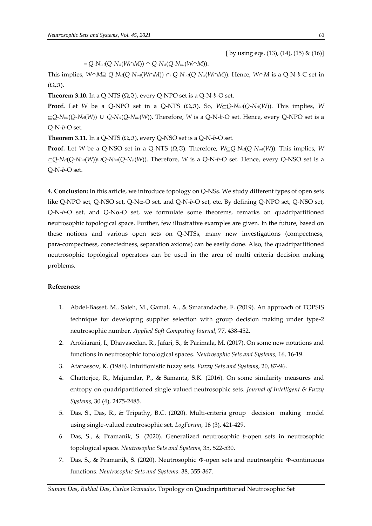[ by using eqs.  $(13)$ ,  $(14)$ ,  $(15)$  &  $(16)$ ]

 $= Q$ - $N$ *int*( $Q$ - $N$ *cl*( $W \cap M$ ))  $\cap Q$ - $N$ *cl*( $Q$ - $N$ *int*( $W \cap M$ )).

This implies,  $W \cap M \supseteq Q-N$ <sub>*int*</sub>( $Q-N$ *int*( $W \cap M$ ))  $\cap Q-N$ *int*( $Q-N$ <sub>*cl*</sub>( $W \cap M$ )). Hence,  $W \cap M$  is a  $Q-N-b-C$  set in  $(\Omega,\mathfrak{I}).$ 

**Theorem 3.10.** In a Q-NTS  $(\Omega, \Im)$ , every Q-NPO set is a Q-N-*b*-O set.

**Proof.** Let *W* be a Q-NPO set in a Q-NTS ( $\Omega$ ,  $\Im$ ). So,  $W \subseteq Q$ - $N_{int}(Q-N_{ci}(W))$ . This implies, *W*  $\subseteq$ Q-N<sub>*int*</sub>(Q-N<sub>*cl*</sub>(*W*)) ∪ *Q*-N<sub>*cl*</sub>(Q-N<sub>*int*</sub>(*W*)). Therefore, *W* is a Q-N-*b*-O set. Hence, every Q-NPO set is a Q-N-*b*-O set.

**Theorem 3.11.** In a Q-NTS  $(\Omega, \mathfrak{T})$ , every Q-NSO set is a Q-N-*b*-O set.

**Proof.** Let *W* be a Q-NSO set in a Q-NTS ( $\Omega$ ,  $\Im$ ). Therefore,  $W \subseteq Q$ -N<sub>*cl*</sub>( $Q$ -N<sub>*int*</sub>(*W*)). This implies, *W*  $\subseteq Q$ -N*cl*( $Q$ -N*int*(*W*)) $\cup Q$ -N*int*( $Q$ -N*cl*(*W*)). Therefore, *W* is a Q-N-*b*-O set. Hence, every Q-NSO set is a Q-N-*b*-O set.

**4. Conclusion:** In this article, we introduce topology on Q-NSs. We study different types of open sets like Q-NPO set, Q-NSO set, Q-Nα-O set, and Q-N-b-O set, etc. By defining Q-NPO set, Q-NSO set,  $Q-N-b-O$  set, and  $Q-N<sub>\alpha</sub>-O$  set, we formulate some theorems, remarks on quadripartitioned neutrosophic topological space. Further, few illustrative examples are given. In the future, based on these notions and various open sets on Q-NTSs, many new investigations (compectness, para-compectness, conectedness, separation axioms) can be easily done. Also, the quadripartitioned neutrosophic topological operators can be used in the area of multi criteria decision making problems.

### **References:**

- 1. Abdel-Basset, M., Saleh, M., Gamal, A., & Smarandache, F. (2019). An approach of TOPSIS technique for developing supplier selection with group decision making under type-2 neutrosophic number. *Applied Soft Computing Journal*, 77, 438-452.
- 2. Arokiarani, I., Dhavaseelan, R., Jafari, S., & Parimala, M. (2017). On some new notations and functions in neutrosophic topological spaces. *Neutrosophic Sets and Systems*, 16, 16-19.
- 3. Atanassov, K. (1986). Intuitionistic fuzzy sets. *Fuzzy Sets and Systems*, 20, 87-96.
- 4. Chatterjee, R., Majumdar, P., & Samanta, S.K. (2016). On some similarity measures and entropy on quadripartitioned single valued neutrosophic sets. *Journal of Intelligent & Fuzzy Systems*, 30 (4), 2475-2485.
- 5. Das, S., Das, R., & Tripathy, B.C. (2020). Multi-criteria group decision making model using single-valued neutrosophic set. *LogForum*, 16 (3), 421-429.
- 6. Das, S., & Pramanik, S. (2020). Generalized neutrosophic *b*-open sets in neutrosophic topological space. *Neutrosophic Sets and Systems*, 35, 522-530.
- 7. Das, S., & Pramanik, S. (2020). Neutrosophic Φ-open sets and neutrosophic Φ-continuous functions. *Neutrosophic Sets and Systems*. 38, 355-367.